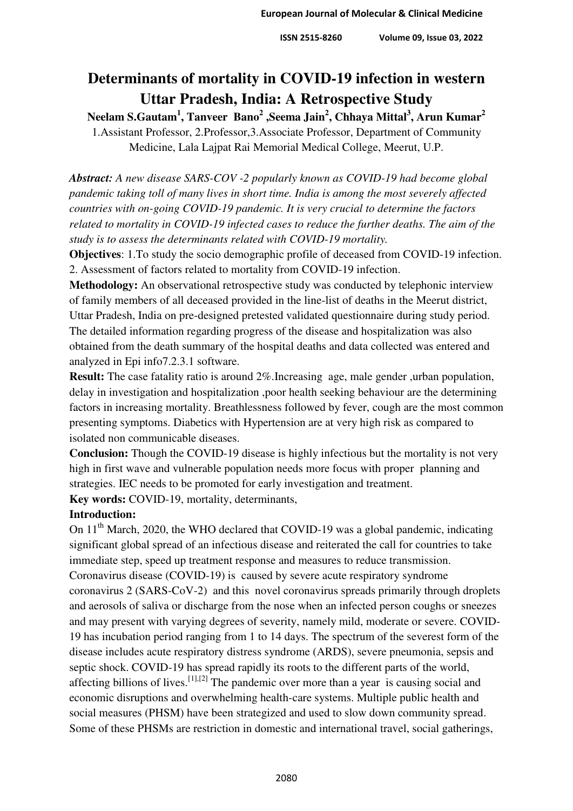## **Determinants of mortality in COVID-19 infection in western Uttar Pradesh, India: A Retrospective Study**

**Neelam S.Gautam<sup>1</sup> , Tanveer Bano<sup>2</sup> ,Seema Jain<sup>2</sup> , Chhaya Mittal<sup>3</sup> , Arun Kumar<sup>2</sup>** 1.Assistant Professor, 2.Professor,3.Associate Professor, Department of Community Medicine, Lala Lajpat Rai Memorial Medical College, Meerut, U.P.

*Abstract: A new disease SARS-COV -2 popularly known as COVID-19 had become global pandemic taking toll of many lives in short time. India is among the most severely affected countries with on-going COVID-19 pandemic. It is very crucial to determine the factors related to mortality in COVID-19 infected cases to reduce the further deaths. The aim of the study is to assess the determinants related with COVID-19 mortality.* 

**Objectives**: 1.To study the socio demographic profile of deceased from COVID-19 infection. 2. Assessment of factors related to mortality from COVID-19 infection.

**Methodology:** An observational retrospective study was conducted by telephonic interview of family members of all deceased provided in the line-list of deaths in the Meerut district, Uttar Pradesh, India on pre-designed pretested validated questionnaire during study period. The detailed information regarding progress of the disease and hospitalization was also obtained from the death summary of the hospital deaths and data collected was entered and analyzed in Epi info7.2.3.1 software.

**Result:** The case fatality ratio is around 2%. Increasing age, male gender, urban population, delay in investigation and hospitalization ,poor health seeking behaviour are the determining factors in increasing mortality. Breathlessness followed by fever, cough are the most common presenting symptoms. Diabetics with Hypertension are at very high risk as compared to isolated non communicable diseases.

**Conclusion:** Though the COVID-19 disease is highly infectious but the mortality is not very high in first wave and vulnerable population needs more focus with proper planning and strategies. IEC needs to be promoted for early investigation and treatment.

**Key words:** COVID-19, mortality, determinants,

## **Introduction:**

On 11<sup>th</sup> March, 2020, the WHO declared that COVID-19 was a global pandemic, indicating significant global spread of an infectious disease and reiterated the call for countries to take immediate step, speed up treatment response and measures to reduce transmission. Coronavirus disease (COVID-19) is caused by severe acute respiratory syndrome coronavirus 2 (SARS-CoV-2) and this novel coronavirus spreads primarily through droplets and aerosols of saliva or discharge from the nose when an infected person coughs or sneezes and may present with varying degrees of severity, namely mild, moderate or severe. COVID-19 has incubation period ranging from 1 to 14 days. The spectrum of the severest form of the disease includes acute respiratory distress syndrome (ARDS), severe pneumonia, sepsis and septic shock. COVID-19 has spread rapidly its roots to the different parts of the world, affecting billions of lives.<sup>[\[1\],](https://www.npmj.org/article.asp?issn=1117-1936;year=2020;volume=27;issue=4;spage=293;epage=301;aulast=Agarwal#ref1)[\[2\]](https://www.npmj.org/article.asp?issn=1117-1936;year=2020;volume=27;issue=4;spage=293;epage=301;aulast=Agarwal#ref2)</sup> The pandemic over more than a year is causing social and economic disruptions and overwhelming health-care systems. Multiple public health and social measures (PHSM) have been strategized and used to slow down community spread. Some of these PHSMs are restriction in domestic and international travel, social gatherings,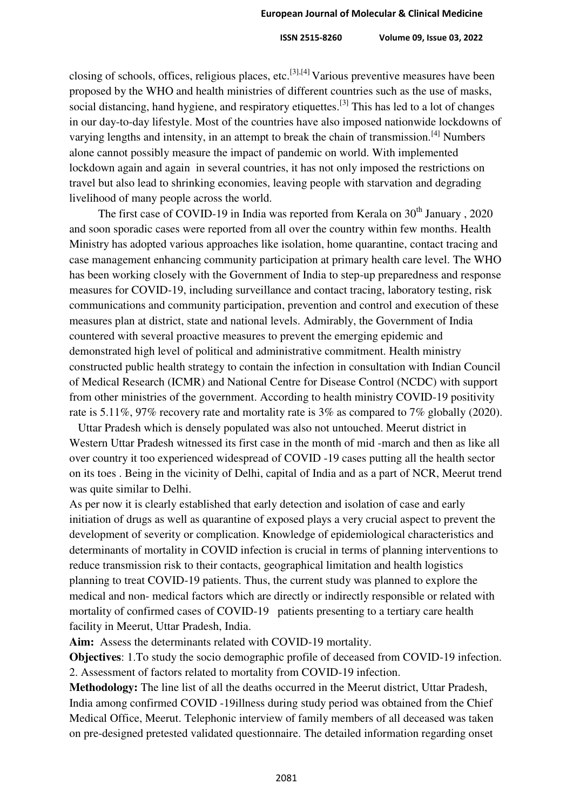closing of schools, offices, religious places, etc.<sup>[\[3\],](https://www.npmj.org/article.asp?issn=1117-1936;year=2020;volume=27;issue=4;spage=293;epage=301;aulast=Agarwal#ref3)[4]</sup> Various preventive measures have been proposed by the WHO and health ministries of different countries such as the use of masks, social distancing, hand hygiene, and respiratory etiquettes.<sup>[\[3\]](https://www.ijcm.org.in/article.asp?issn=0970-0218;year=2020;volume=45;issue=4;spage=391;epage=395;aulast=Mundra#ref4)</sup> This has led to a lot of changes in our day-to-day lifestyle. Most of the countries have also imposed nationwide lockdowns of varying lengths and intensity, in an attempt to break the chain of transmission.<sup>[\[4\]](https://www.ijcm.org.in/article.asp?issn=0970-0218;year=2020;volume=45;issue=4;spage=391;epage=395;aulast=Mundra#ref5)</sup> Numbers alone cannot possibly measure the impact of pandemic on world. With implemented lockdown again and again in several countries, it has not only imposed the restrictions on travel but also lead to shrinking economies, leaving people with starvation and degrading livelihood of many people across the world.

The first case of COVID-19 in India was reported from Kerala on  $30<sup>th</sup>$  January, 2020 and soon sporadic cases were reported from all over the country within few months. Health Ministry has adopted various approaches like isolation, home quarantine, contact tracing and case management enhancing community participation at primary health care level. The WHO has been working closely with the Government of India to step-up preparedness and response measures for COVID-19, including surveillance and contact tracing, laboratory testing, risk communications and community participation, prevention and control and execution of these measures plan at district, state and national levels. Admirably, the Government of India countered with several proactive measures to prevent the emerging epidemic and demonstrated high level of political and administrative commitment. Health ministry constructed public health strategy to contain the infection in consultation with Indian Council of Medical Research (ICMR) and National Centre for Disease Control (NCDC) with support from other ministries of the government. According to health ministry COVID-19 positivity rate is 5.11%, 97% recovery rate and mortality rate is 3% as compared to 7% globally (2020).

 Uttar Pradesh which is densely populated was also not untouched. Meerut district in Western Uttar Pradesh witnessed its first case in the month of mid -march and then as like all over country it too experienced widespread of COVID -19 cases putting all the health sector on its toes . Being in the vicinity of Delhi, capital of India and as a part of NCR, Meerut trend was quite similar to Delhi.

As per now it is clearly established that early detection and isolation of case and early initiation of drugs as well as quarantine of exposed plays a very crucial aspect to prevent the development of severity or complication. Knowledge of epidemiological characteristics and determinants of mortality in COVID infection is crucial in terms of planning interventions to reduce transmission risk to their contacts, geographical limitation and health logistics planning to treat COVID-19 patients. Thus, the current study was planned to explore the medical and non- medical factors which are directly or indirectly responsible or related with mortality of confirmed cases of COVID-19 patients presenting to a tertiary care health facility in Meerut, Uttar Pradesh, India.

**Aim:** Assess the determinants related with COVID-19 mortality.

**Objectives**: 1.To study the socio demographic profile of deceased from COVID-19 infection. 2. Assessment of factors related to mortality from COVID-19 infection.

**Methodology:** The line list of all the deaths occurred in the Meerut district, Uttar Pradesh, India among confirmed COVID -19illness during study period was obtained from the Chief Medical Office, Meerut. Telephonic interview of family members of all deceased was taken on pre-designed pretested validated questionnaire. The detailed information regarding onset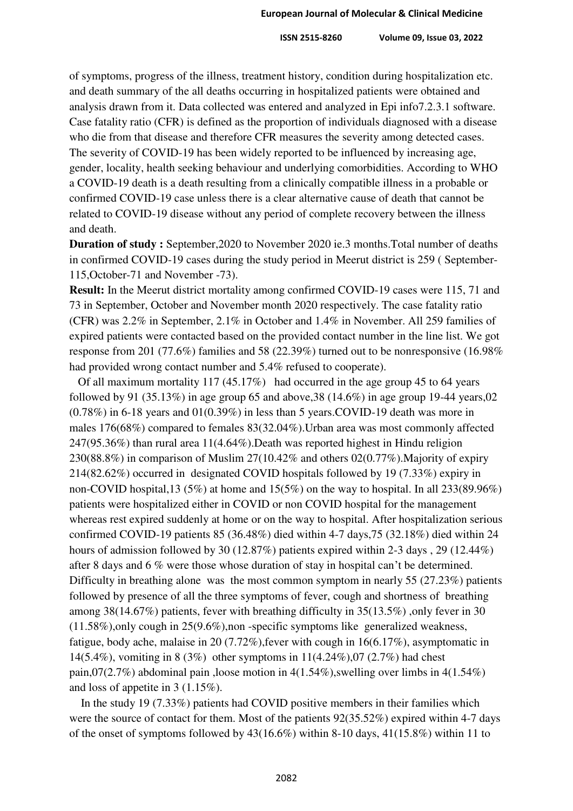of symptoms, progress of the illness, treatment history, condition during hospitalization etc. and death summary of the all deaths occurring in hospitalized patients were obtained and analysis drawn from it. Data collected was entered and analyzed in Epi info7.2.3.1 software. Case fatality ratio (CFR) is defined as the proportion of individuals diagnosed with a disease who die from that disease and therefore CFR measures the severity among detected cases. The severity of COVID-19 has been widely reported to be influenced by increasing age, gender, locality, health seeking behaviour and underlying comorbidities. According to WHO a COVID-19 death is a death resulting from a clinically compatible illness in a probable or confirmed COVID-19 case unless there is a clear alternative cause of death that cannot be related to COVID-19 disease without any period of complete recovery between the illness and death.

**Duration of study :** September,2020 to November 2020 ie.3 months.Total number of deaths in confirmed COVID-19 cases during the study period in Meerut district is 259 ( September-115,October-71 and November -73).

**Result:** In the Meerut district mortality among confirmed COVID-19 cases were 115, 71 and 73 in September, October and November month 2020 respectively. The case fatality ratio (CFR) was 2.2% in September, 2.1% in October and 1.4% in November. All 259 families of expired patients were contacted based on the provided contact number in the line list. We got response from 201 (77.6%) families and 58 (22.39%) turned out to be nonresponsive (16.98% had provided wrong contact number and 5.4% refused to cooperate).

 Of all maximum mortality 117 (45.17%) had occurred in the age group 45 to 64 years followed by 91 (35.13%) in age group 65 and above,38 (14.6%) in age group 19-44 years,02 (0.78%) in 6-18 years and 01(0.39%) in less than 5 years.COVID-19 death was more in males 176(68%) compared to females 83(32.04%).Urban area was most commonly affected 247(95.36%) than rural area 11(4.64%).Death was reported highest in Hindu religion 230(88.8%) in comparison of Muslim 27(10.42% and others 02(0.77%).Majority of expiry 214(82.62%) occurred in designated COVID hospitals followed by 19 (7.33%) expiry in non-COVID hospital,13 (5%) at home and 15(5%) on the way to hospital. In all 233(89.96%) patients were hospitalized either in COVID or non COVID hospital for the management whereas rest expired suddenly at home or on the way to hospital. After hospitalization serious confirmed COVID-19 patients 85 (36.48%) died within 4-7 days,75 (32.18%) died within 24 hours of admission followed by 30 (12.87%) patients expired within 2-3 days , 29 (12.44%) after 8 days and 6 % were those whose duration of stay in hospital can't be determined. Difficulty in breathing alone was the most common symptom in nearly 55 (27.23%) patients followed by presence of all the three symptoms of fever, cough and shortness of breathing among 38(14.67%) patients, fever with breathing difficulty in 35(13.5%) ,only fever in 30 (11.58%),only cough in 25(9.6%),non -specific symptoms like generalized weakness, fatigue, body ache, malaise in 20 (7.72%),fever with cough in 16(6.17%), asymptomatic in 14(5.4%), vomiting in 8 (3%) other symptoms in 11(4.24%),07 (2.7%) had chest pain,07(2.7%) abdominal pain ,loose motion in 4(1.54%),swelling over limbs in 4(1.54%) and loss of appetite in 3 (1.15%).

 In the study 19 (7.33%) patients had COVID positive members in their families which were the source of contact for them. Most of the patients  $92(35.52%)$  expired within 4-7 days of the onset of symptoms followed by 43(16.6%) within 8-10 days, 41(15.8%) within 11 to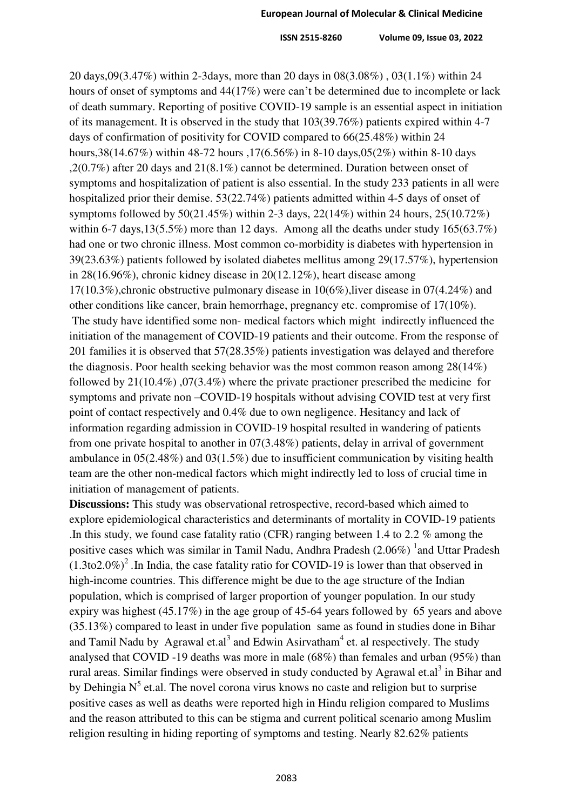20 days,09(3.47%) within 2-3days, more than 20 days in 08(3.08%) , 03(1.1%) within 24 hours of onset of symptoms and 44(17%) were can't be determined due to incomplete or lack of death summary. Reporting of positive COVID-19 sample is an essential aspect in initiation of its management. It is observed in the study that 103(39.76%) patients expired within 4-7 days of confirmation of positivity for COVID compared to 66(25.48%) within 24 hours,38(14.67%) within 48-72 hours ,17(6.56%) in 8-10 days,05(2%) within 8-10 days ,2(0.7%) after 20 days and 21(8.1%) cannot be determined. Duration between onset of symptoms and hospitalization of patient is also essential. In the study 233 patients in all were hospitalized prior their demise. 53(22.74%) patients admitted within 4-5 days of onset of symptoms followed by 50(21.45%) within 2-3 days, 22(14%) within 24 hours, 25(10.72%) within 6-7 days, 13(5.5%) more than 12 days. Among all the deaths under study 165(63.7%) had one or two chronic illness. Most common co-morbidity is diabetes with hypertension in 39(23.63%) patients followed by isolated diabetes mellitus among 29(17.57%), hypertension in 28(16.96%), chronic kidney disease in 20(12.12%), heart disease among 17(10.3%),chronic obstructive pulmonary disease in 10(6%),liver disease in 07(4.24%) and other conditions like cancer, brain hemorrhage, pregnancy etc. compromise of 17(10%). The study have identified some non- medical factors which might indirectly influenced the initiation of the management of COVID-19 patients and their outcome. From the response of 201 families it is observed that 57(28.35%) patients investigation was delayed and therefore the diagnosis. Poor health seeking behavior was the most common reason among 28(14%) followed by 21(10.4%) ,07(3.4%) where the private practioner prescribed the medicine for symptoms and private non –COVID-19 hospitals without advising COVID test at very first point of contact respectively and 0.4% due to own negligence. Hesitancy and lack of information regarding admission in COVID-19 hospital resulted in wandering of patients from one private hospital to another in 07(3.48%) patients, delay in arrival of government ambulance in 05(2.48%) and 03(1.5%) due to insufficient communication by visiting health team are the other non-medical factors which might indirectly led to loss of crucial time in initiation of management of patients.

**Discussions:** This study was observational retrospective, record-based which aimed to explore epidemiological characteristics and determinants of mortality in COVID-19 patients .In this study, we found case fatality ratio (CFR) ranging between 1.4 to 2.2 % among the positive cases which was similar in Tamil Nadu, Andhra Pradesh  $(2.06\%)$  <sup>1</sup> and Uttar Pradesh  $(1.3$ to2.0%)<sup>2</sup>. In India, the case fatality ratio for COVID-19 is lower than that observed in high-income countries. This difference might be due to the age structure of the Indian population, which is comprised of larger proportion of younger population. In our study expiry was highest (45.17%) in the age group of 45-64 years followed by 65 years and above (35.13%) compared to least in under five population same as found in studies done in Bihar and Tamil Nadu by Agrawal et.al<sup>3</sup> and Edwin Asirvatham<sup>4</sup> et. al respectively. The study analysed that COVID -19 deaths was more in male (68%) than females and urban (95%) than rural areas. Similar findings were observed in study conducted by Agrawal et.al<sup>3</sup> in Bihar and by Dehingia  $N^5$  et.al. The novel corona virus knows no caste and religion but to surprise positive cases as well as deaths were reported high in Hindu religion compared to Muslims and the reason attributed to this can be stigma and current political scenario among Muslim religion resulting in hiding reporting of symptoms and testing. Nearly 82.62% patients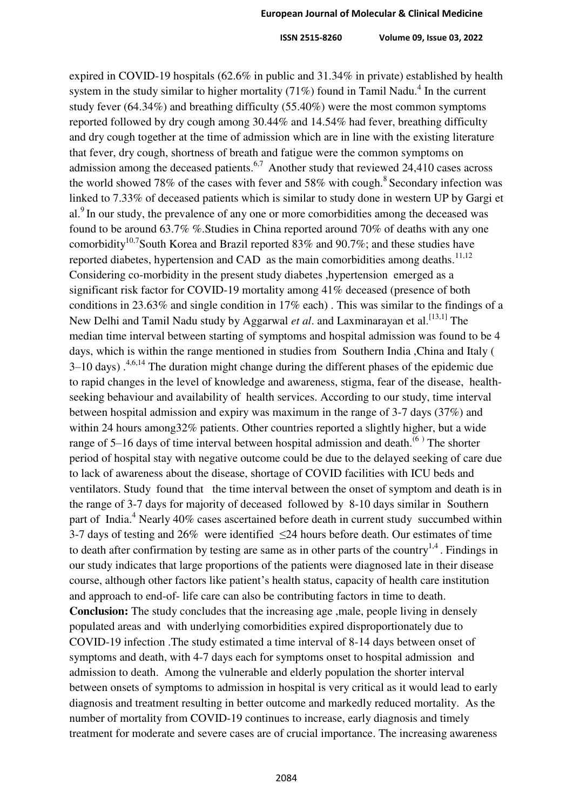expired in COVID-19 hospitals (62.6% in public and 31.34% in private) established by health system in the study similar to higher mortality  $(71%)$  found in Tamil Nadu.<sup>4</sup> In the current study fever (64.34%) and breathing difficulty (55.40%) were the most common symptoms reported followed by dry cough among 30.44% and 14.54% had fever, breathing difficulty and dry cough together at the time of admission which are in line with the existing literature that fever, dry cough, shortness of breath and fatigue were the common symptoms on admission among the deceased patients.<sup>6,7</sup> Another study that reviewed 24,410 cases across the world showed 78% of the cases with fever and 58% with cough.<sup>8</sup> Secondary infection was linked to 7.33% of deceased patients which is similar to study done in western UP by Gargi et al.<sup>9</sup> In our study, the prevalence of any one or more comorbidities among the deceased was found to be around 63.7% %.Studies in China reported around 70% of deaths with any one comorbidity<sup>10,7</sup>South Korea and Brazil reported 83% and 90.7%; and these studies have reported diabetes, hypertension and CAD as the main comorbidities among deaths.<sup>11,12</sup> Considering co-morbidity in the present study diabetes ,hypertension emerged as a significant risk factor for COVID-19 mortality among 41% deceased (presence of both conditions in 23.63% and single condition in 17% each) . This was similar to the findings of a New Delhi and Tamil Nadu study by Aggarwal *et al*. and Laxminarayan et al.<sup>[\[13,1\]](https://www.npmj.org/article.asp?issn=1117-1936;year=2020;volume=27;issue=4;spage=293;epage=301;aulast=Agarwal#ref9)</sup> The median time interval between starting of symptoms and hospital admission was found to be 4 days, which is within the range mentioned in studies from Southern India ,China and Italy (  $3-10$  days).<sup>4,6,14</sup> The duration might change during the different phases of the epidemic due to rapid changes in the level of knowledge and awareness, stigma, fear of the disease, healthseeking behaviour and availability of health services. According to our study, time interval between hospital admission and expiry was maximum in the range of 3-7 days (37%) and within 24 hours among 32% patients. Other countries reported a slightly higher, but a wide range of 5–16 days of time interval between hospital admission and death.<sup>(6)</sup> The shorter period of hospital stay with negative outcome could be due to the delayed seeking of care due to lack of awareness about the disease, shortage of COVID facilities with ICU beds and ventilators. Study found that the time interval between the onset of symptom and death is in the range of 3-7 days for majority of deceased followed by 8-10 days similar in Southern part of India.<sup>4</sup> Nearly 40% cases ascertained before death in current study succumbed within 3-7 days of testing and 26% were identified ≤24 hours before death. Our estimates of time to death after confirmation by testing are same as in other parts of the country<sup>1,4</sup>. Findings in our study indicates that large proportions of the patients were diagnosed late in their disease course, although other factors like patient's health status, capacity of health care institution and approach to end-of- life care can also be contributing factors in time to death. **Conclusion:** The study concludes that the increasing age ,male, people living in densely populated areas and with underlying comorbidities expired disproportionately due to COVID-19 infection .The study estimated a time interval of 8-14 days between onset of symptoms and death, with 4-7 days each for symptoms onset to hospital admission and admission to death. Among the vulnerable and elderly population the shorter interval between onsets of symptoms to admission in hospital is very critical as it would lead to early diagnosis and treatment resulting in better outcome and markedly reduced mortality. As the number of mortality from COVID-19 continues to increase, early diagnosis and timely treatment for moderate and severe cases are of crucial importance. The increasing awareness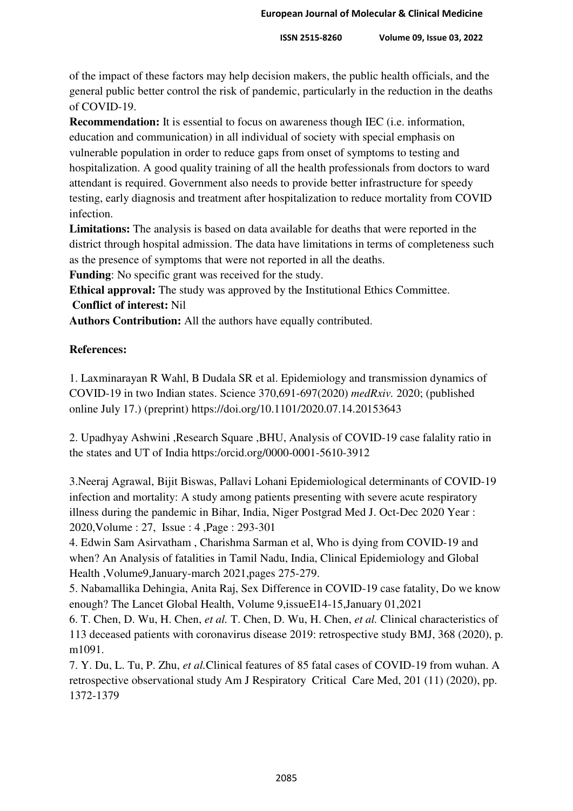of the impact of these factors may help decision makers, the public health officials, and the general public better control the risk of pandemic, particularly in the reduction in the deaths of COVID-19.

**Recommendation:** It is essential to focus on awareness though IEC (i.e. information, education and communication) in all individual of society with special emphasis on vulnerable population in order to reduce gaps from onset of symptoms to testing and hospitalization. A good quality training of all the health professionals from doctors to ward attendant is required. Government also needs to provide better infrastructure for speedy testing, early diagnosis and treatment after hospitalization to reduce mortality from COVID infection.

**Limitations:** The analysis is based on data available for deaths that were reported in the district through hospital admission. The data have limitations in terms of completeness such as the presence of symptoms that were not reported in all the deaths.

**Funding**: No specific grant was received for the study.

**Ethical approval:** The study was approved by the Institutional Ethics Committee. **Conflict of interest:** Nil

**Authors Contribution:** All the authors have equally contributed.

## **References:**

1. Laxminarayan R Wahl, B Dudala SR et al. Epidemiology and transmission dynamics of COVID-19 in two Indian states. Science 370,691-697(2020) *medRxiv.* 2020; (published online July 17.) (preprint)<https://doi.org/10.1101/2020.07.14.20153643>

2. Upadhyay Ashwini ,Research Square ,BHU, Analysis of COVID-19 case falality ratio in the states and UT of India https:/orcid.org/0000-0001-5610-3912

3.Neeraj Agrawal, Bijit Biswas, Pallavi Lohani Epidemiological determinants of COVID-19 infection and mortality: A study among patients presenting with severe acute respiratory illness during the pandemic in Bihar, India, Niger Postgrad Med J. Oct-Dec 2020 Year : 2020,Volume : 27, Issue : 4 ,Page : 293-301

4. Edwin Sam Asirvatham , Charishma Sarman et al, Who is dying from COVID-19 and when? An Analysis of fatalities in Tamil Nadu, India, Clinical Epidemiology and Global Health ,Volume9,January-march 2021,pages 275-279.

5. Nabamallika Dehingia, Anita Raj, Sex Difference in COVID-19 case fatality, Do we know enough? The Lancet Global Health, Volume 9,issueE14-15,January 01,2021

6. T. Chen, D. Wu, H. Chen, *et al.* T. Chen, D. Wu, H. Chen, *et al.* Clinical characteristics of 113 deceased patients with coronavirus disease 2019: retrospective study BMJ, 368 (2020), p. m1091.

7. Y. Du, L. Tu, P. Zhu, *et al.*Clinical features of 85 fatal cases of COVID-19 from wuhan. A retrospective observational study Am J Respiratory Critical Care Med, 201 (11) (2020), pp. 1372-1379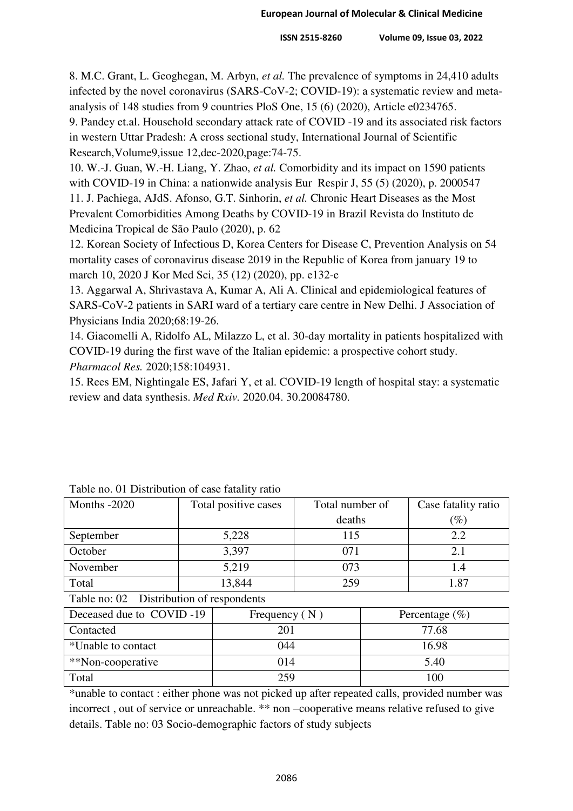8. M.C. Grant, L. Geoghegan, M. Arbyn, *et al.* The prevalence of symptoms in 24,410 adults infected by the novel coronavirus (SARS-CoV-2; COVID-19): a systematic review and metaanalysis of 148 studies from 9 countries PloS One, 15 (6) (2020), Article e0234765.

9. Pandey et.al. Household secondary attack rate of COVID -19 and its associated risk factors in western Uttar Pradesh: A cross sectional study, International Journal of Scientific Research,Volume9,issue 12,dec-2020,page:74-75.

10. W.-J. Guan, W.-H. Liang, Y. Zhao, *et al.* Comorbidity and its impact on 1590 patients with COVID-19 in China: a nationwide analysis Eur Respir J, 55 (5) (2020), p. 2000547 11. J. Pachiega, AJdS. Afonso, G.T. Sinhorin, *et al.* Chronic Heart Diseases as the Most Prevalent Comorbidities Among Deaths by COVID-19 in Brazil Revista do Instituto de Medicina Tropical de São Paulo (2020), p. 62

12. Korean Society of Infectious D, Korea Centers for Disease C, Prevention Analysis on 54 mortality cases of coronavirus disease 2019 in the Republic of Korea from january 19 to march 10, 2020 J Kor Med Sci, 35 (12) (2020), pp. e132-e

13. Aggarwal A, Shrivastava A, Kumar A, Ali A. Clinical and epidemiological features of SARS-CoV-2 patients in SARI ward of a tertiary care centre in New Delhi. J Association of Physicians India 2020;68:19-26.

14. Giacomelli A, Ridolfo AL, Milazzo L, et al. 30-day mortality in patients hospitalized with COVID-19 during the first wave of the Italian epidemic: a prospective cohort study. *Pharmacol Res.* 2020;158:104931.

15. Rees EM, Nightingale ES, Jafari Y, et al. COVID-19 length of hospital stay: a systematic review and data synthesis. *Med Rxiv.* 2020.04. 30.20084780.

| Total positive cases | Total number of | Case fatality ratio |
|----------------------|-----------------|---------------------|
|                      | deaths          | $\left( \% \right)$ |
| 5,228                | 115             | 2.2                 |
| 3,397                | 071             | 2.1                 |
| 5,219                | 073             |                     |
| 13,844               | 259             | l.87                |
|                      |                 |                     |

|  |  | Table no. 01 Distribution of case fatality ratio |  |  |  |
|--|--|--------------------------------------------------|--|--|--|
|--|--|--------------------------------------------------|--|--|--|

Table no: 02 Distribution of respondents

| Deceased due to COVID-19 | Frequency $(N)$ | Percentage $(\% )$ |
|--------------------------|-----------------|--------------------|
| Contacted                | 201             | 77.68              |
| *Unable to contact       | 044             | 16.98              |
| **Non-cooperative        | 014             | 5.40               |
| Total                    | 259             | 100                |

\*unable to contact : either phone was not picked up after repeated calls, provided number was incorrect , out of service or unreachable. \*\* non –cooperative means relative refused to give details. Table no: 03 Socio-demographic factors of study subjects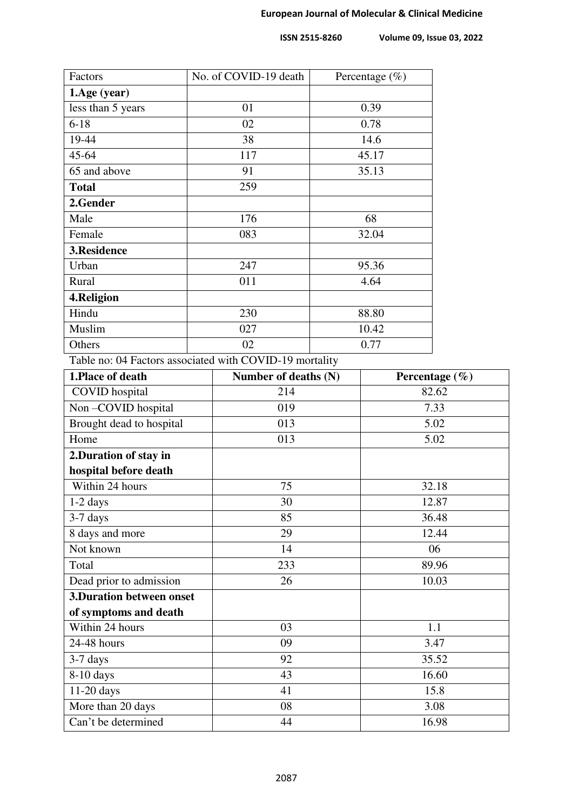| Factors           | No. of COVID-19 death<br>Percentage $(\% )$ |       |
|-------------------|---------------------------------------------|-------|
| 1.Age (year)      |                                             |       |
| less than 5 years | 01                                          | 0.39  |
| $6 - 18$          | 02                                          | 0.78  |
| 19-44             | 38                                          | 14.6  |
| $45 - 64$         | 117                                         | 45.17 |
| 65 and above      | 91                                          | 35.13 |
| <b>Total</b>      | 259                                         |       |
| 2.Gender          |                                             |       |
| Male              | 176                                         | 68    |
| Female            | 083                                         | 32.04 |
| 3.Residence       |                                             |       |
| Urban             | 247                                         | 95.36 |
| Rural             | 011                                         | 4.64  |
| 4.Religion        |                                             |       |
| Hindu             | 230                                         | 88.80 |
| Muslim            | 027                                         | 10.42 |
| Others            | 02                                          | 0.77  |

Table no: 04 Factors associated with COVID-19 mortality

| 1. Place of death                | Number of deaths (N) | Percentage $(\% )$ |
|----------------------------------|----------------------|--------------------|
| <b>COVID</b> hospital            | 214                  | 82.62              |
| Non-COVID hospital               | 019                  | 7.33               |
| Brought dead to hospital         | 013                  | 5.02               |
| Home                             | 013                  | 5.02               |
| 2. Duration of stay in           |                      |                    |
| hospital before death            |                      |                    |
| Within 24 hours                  | 75                   | 32.18              |
| $1-2$ days                       | 30                   | 12.87              |
| $3-7$ days                       | 85                   | 36.48              |
| 8 days and more                  | 29                   | 12.44              |
| Not known                        | 14                   | 06                 |
| Total                            | 233                  | 89.96              |
| Dead prior to admission          | 26                   | 10.03              |
| <b>3. Duration between onset</b> |                      |                    |
| of symptoms and death            |                      |                    |
| Within 24 hours                  | 03                   | 1.1                |
| 24-48 hours                      | 09                   | 3.47               |
| 3-7 days                         | 92                   | 35.52              |
| $8-10$ days                      | 43                   | 16.60              |
| $11-20$ days                     | 41                   | 15.8               |
| More than 20 days                | 08                   | 3.08               |
| Can't be determined              | 44                   | 16.98              |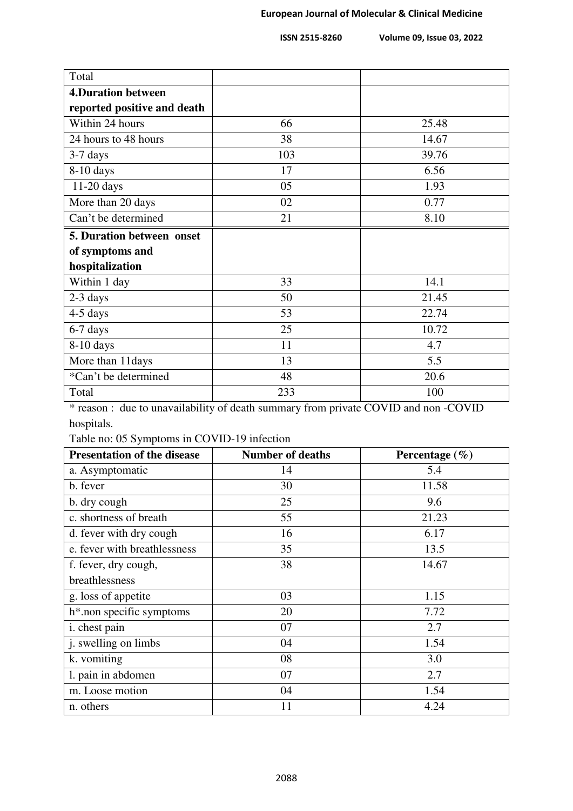| Total                       |     |       |
|-----------------------------|-----|-------|
| <b>4.Duration between</b>   |     |       |
| reported positive and death |     |       |
| Within 24 hours             | 66  | 25.48 |
| 24 hours to 48 hours        | 38  | 14.67 |
| $3-7$ days                  | 103 | 39.76 |
| $8-10$ days                 | 17  | 6.56  |
| $11-20$ days                | 05  | 1.93  |
| More than 20 days           | 02  | 0.77  |
| Can't be determined         | 21  | 8.10  |
| 5. Duration between onset   |     |       |
| of symptoms and             |     |       |
| hospitalization             |     |       |
| Within 1 day                | 33  | 14.1  |
| 2-3 days                    | 50  | 21.45 |
| 4-5 days                    | 53  | 22.74 |
| 6-7 days                    | 25  | 10.72 |
| $8-10$ days                 | 11  | 4.7   |
| More than 11days            | 13  | 5.5   |
| *Can't be determined        | 48  | 20.6  |
| Total                       | 233 | 100   |

\* reason : due to unavailability of death summary from private COVID and non -COVID hospitals.

Table no: 05 Symptoms in COVID-19 infection

| <b>Presentation of the disease</b>    | <b>Number of deaths</b> | Percentage $(\% )$ |
|---------------------------------------|-------------------------|--------------------|
| a. Asymptomatic                       | 14                      | 5.4                |
| b. fever                              | 30                      | 11.58              |
| b. dry cough                          | 25                      | 9.6                |
| c. shortness of breath                | 55                      | 21.23              |
| d. fever with dry cough               | 16                      | 6.17               |
| e. fever with breathlessness          | 35                      | 13.5               |
| f. fever, dry cough,                  | 38                      | 14.67              |
| breathlessness                        |                         |                    |
| g. loss of appetite                   | 03                      | 1.15               |
| h <sup>*</sup> .non specific symptoms | 20                      | 7.72               |
| i. chest pain                         | 07                      | 2.7                |
| j. swelling on limbs                  | 04                      | 1.54               |
| k. vomiting                           | 08                      | 3.0                |
| 1. pain in abdomen                    | 07                      | 2.7                |
| m. Loose motion                       | 04                      | 1.54               |
| n. others                             | 11                      | 4.24               |